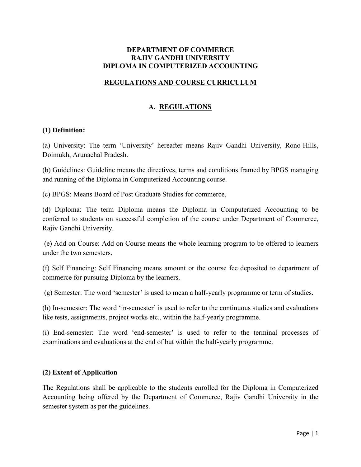# **DEPARTMENT OF COMMERCE RAJIV GANDHI UNIVERSITY** DIPLOMA IN COMPUTERIZED ACCOUNTING

# **REGULATIONS AND COURSE CURRICULUM**

# A. REGULATIONS

## (1) Definition:

(a) University: The term 'University' hereafter means Rajiv Gandhi University, Rono-Hills, Doimukh, Arunachal Pradesh.

(b) Guidelines: Guideline means the directives, terms and conditions framed by BPGS managing and running of the Diploma in Computerized Accounting course.

(c) BPGS: Means Board of Post Graduate Studies for commerce,

(d) Diploma: The term Diploma means the Diploma in Computerized Accounting to be conferred to students on successful completion of the course under Department of Commerce, Rajiv Gandhi University.

(e) Add on Course: Add on Course means the whole learning program to be offered to learners under the two semesters.

(f) Self Financing: Self Financing means amount or the course fee deposited to department of commerce for pursuing Diploma by the learners.

(g) Semester: The word 'semester' is used to mean a half-yearly programme or term of studies.

(h) In-semester: The word 'in-semester' is used to refer to the continuous studies and evaluations like tests, assignments, project works etc., within the half-yearly programme.

(i) End-semester: The word 'end-semester' is used to refer to the terminal processes of examinations and evaluations at the end of but within the half-yearly programme.

## (2) Extent of Application

The Regulations shall be applicable to the students enrolled for the Diploma in Computerized Accounting being offered by the Department of Commerce, Rajiv Gandhi University in the semester system as per the guidelines.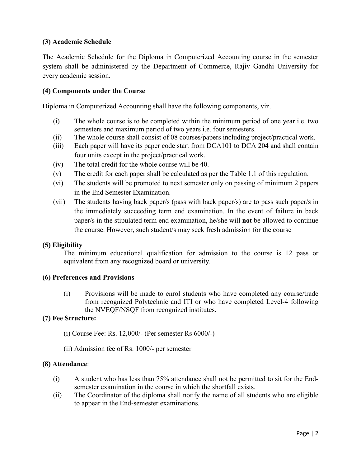# (3) Academic Schedule

The Academic Schedule for the Diploma in Computerized Accounting course in the semester system shall be administered by the Department of Commerce, Rajiv Gandhi University for every academic session.

## (4) Components under the Course

Diploma in Computerized Accounting shall have the following components, viz.

- The whole course is to be completed within the minimum period of one year *i.e.* two  $(i)$ semesters and maximum period of two years i.e. four semesters.
- The whole course shall consist of 08 courses/papers including project/practical work.  $(ii)$
- Each paper will have its paper code start from DCA101 to DCA 204 and shall contain  $(iii)$ four units except in the project/practical work.
- $(iv)$ The total credit for the whole course will be 40.
- The credit for each paper shall be calculated as per the Table 1.1 of this regulation.  $(v)$
- $(vi)$ The students will be promoted to next semester only on passing of minimum 2 papers in the End Semester Examination.
- $(vii)$ The students having back paper/s (pass with back paper/s) are to pass such paper/s in the immediately succeeding term end examination. In the event of failure in back paper/s in the stipulated term end examination, he/she will **not** be allowed to continue the course. However, such student/s may seek fresh admission for the course

## (5) Eligibility

The minimum educational qualification for admission to the course is 12 pass or equivalent from any recognized board or university.

## (6) Preferences and Provisions

Provisions will be made to enrol students who have completed any course/trade  $(i)$ from recognized Polytechnic and ITI or who have completed Level-4 following the NVEQF/NSQF from recognized institutes.

## (7) Fee Structure:

- (i) Course Fee: Rs.  $12,000/$  (Per semester Rs  $6000/$ -)
- (ii) Admission fee of Rs. 1000/- per semester

### (8) Attendance:

- $(i)$ A student who has less than 75% attendance shall not be permitted to sit for the Endsemester examination in the course in which the shortfall exists.
- The Coordinator of the diploma shall notify the name of all students who are eligible  $(ii)$ to appear in the End-semester examinations.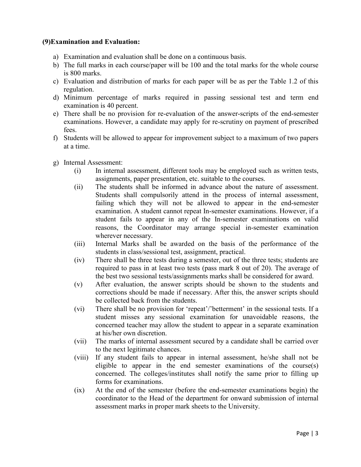## (9) Examination and Evaluation:

- a) Examination and evaluation shall be done on a continuous basis.
- b) The full marks in each course/paper will be 100 and the total marks for the whole course is 800 marks.
- c) Evaluation and distribution of marks for each paper will be as per the Table 1.2 of this regulation.
- d) Minimum percentage of marks required in passing sessional test and term end examination is 40 percent.
- e) There shall be no provision for re-evaluation of the answer-scripts of the end-semester examinations. However, a candidate may apply for re-scrutiny on payment of prescribed fees.
- f) Students will be allowed to appear for improvement subject to a maximum of two papers at a time.
- g) Internal Assessment:
	- In internal assessment, different tools may be employed such as written tests,  $(i)$ assignments, paper presentation, etc. suitable to the courses.
	- The students shall be informed in advance about the nature of assessment.  $(ii)$ Students shall compulsorily attend in the process of internal assessment, failing which they will not be allowed to appear in the end-semester examination. A student cannot repeat In-semester examinations. However, if a student fails to appear in any of the In-semester examinations on valid reasons, the Coordinator may arrange special in-semester examination wherever necessary.
	- $(iii)$ Internal Marks shall be awarded on the basis of the performance of the students in class/sessional test, assignment, practical.
	- $(iv)$ There shall be three tests during a semester, out of the three tests; students are required to pass in at least two tests (pass mark 8 out of 20). The average of the best two sessional tests/assignments marks shall be considered for award.
	- After evaluation, the answer scripts should be shown to the students and  $(v)$ corrections should be made if necessary. After this, the answer scripts should be collected back from the students.
	- $(v_i)$ There shall be no provision for 'repeat'/'betterment' in the sessional tests. If a student misses any sessional examination for unavoidable reasons, the concerned teacher may allow the student to appear in a separate examination at his/her own discretion.
	- The marks of internal assessment secured by a candidate shall be carried over  $(vii)$ to the next legitimate chances.
	- If any student fails to appear in internal assessment, he/she shall not be  $(viii)$ eligible to appear in the end semester examinations of the course(s) concerned. The colleges/institutes shall notify the same prior to filling up forms for examinations.
	- At the end of the semester (before the end-semester examinations begin) the  $(ix)$ coordinator to the Head of the department for onward submission of internal assessment marks in proper mark sheets to the University.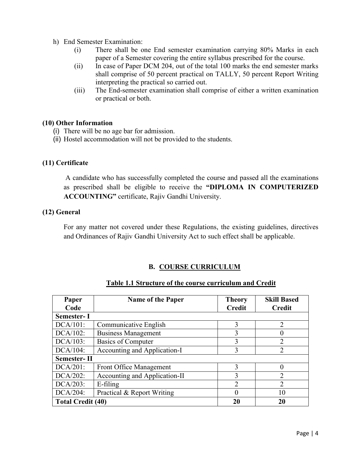- h) End Semester Examination:
	- There shall be one End semester examination carrying 80% Marks in each  $(i)$ paper of a Semester covering the entire syllabus prescribed for the course.
	- $(ii)$ In case of Paper DCM 204, out of the total 100 marks the end semester marks shall comprise of 50 percent practical on TALLY, 50 percent Report Writing interpreting the practical so carried out.
	- $(iii)$ The End-semester examination shall comprise of either a written examination or practical or both.

# (10) Other Information

- (i) There will be no age bar for admission.
- (ii) Hostel accommodation will not be provided to the students.

# (11) Certificate

A candidate who has successfully completed the course and passed all the examinations as prescribed shall be eligible to receive the "DIPLOMA IN COMPUTERIZED **ACCOUNTING**" certificate, Rajiv Gandhi University.

## (12) General

For any matter not covered under these Regulations, the existing guidelines, directives and Ordinances of Rajiv Gandhi University Act to such effect shall be applicable.

# **B. COURSE CURRICULUM**

| Paper<br>Code            | <b>Name of the Paper</b>      | <b>Theory</b><br><b>Credit</b> | <b>Skill Based</b><br><b>Credit</b> |  |
|--------------------------|-------------------------------|--------------------------------|-------------------------------------|--|
| <b>Semester-I</b>        |                               |                                |                                     |  |
| $DCA/101$ :              | Communicative English         | 3                              | $\mathcal{D}_{\mathcal{L}}$         |  |
| DCA/102:                 | <b>Business Management</b>    | 3                              |                                     |  |
| DCA/103:                 | Basics of Computer            | 3                              | $\mathfrak{D}$                      |  |
| $DCA/104$ :              | Accounting and Application-I  | 3                              | $\mathcal{D}_{\mathcal{A}}$         |  |
| <b>Semester-II</b>       |                               |                                |                                     |  |
| $DCA/201$ :              | Front Office Management       | 3                              |                                     |  |
| DCA/202:                 | Accounting and Application-II | 3                              | 2                                   |  |
| DCA/203:                 | $E$ -filing                   | $\overline{2}$                 | $\mathcal{D}_{\mathcal{L}}$         |  |
| DCA/204:                 | Practical & Report Writing    | 0                              | 10                                  |  |
| <b>Total Credit (40)</b> |                               | 20                             | 20                                  |  |

## Table 1.1 Structure of the course curriculum and Credit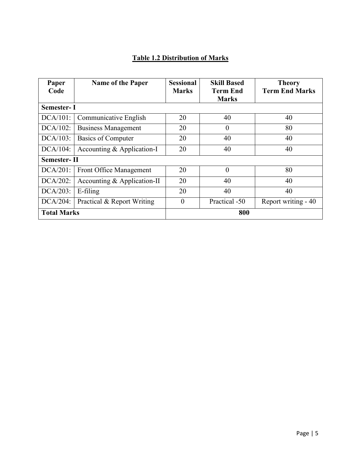# **Table 1.2 Distribution of Marks**

| Paper<br>Code                     | Name of the Paper            | <b>Sessional</b><br><b>Marks</b> | <b>Skill Based</b><br><b>Term End</b> | <b>Theory</b><br><b>Term End Marks</b> |
|-----------------------------------|------------------------------|----------------------------------|---------------------------------------|----------------------------------------|
| <b>Marks</b><br><b>Semester-I</b> |                              |                                  |                                       |                                        |
| $DCA/101$ :                       | Communicative English        | 20                               | 40                                    | 40                                     |
| $DCA/102$ :                       | <b>Business Management</b>   | 20                               | $\theta$                              | 80                                     |
| $DCA/103$ :                       | <b>Basics of Computer</b>    | 20                               | 40                                    | 40                                     |
| DCA/104:                          | Accounting $&$ Application-I | 20                               | 40                                    | 40                                     |
| <b>Semester-II</b>                |                              |                                  |                                       |                                        |
| $DCA/201$ :                       | Front Office Management      | 20                               | $\theta$                              | 80                                     |
| $DCA/202$ :                       | Accounting & Application-II  | 20                               | 40                                    | 40                                     |
| $DCA/203$ :                       | E-filing                     | 20                               | 40                                    | 40                                     |
| $DCA/204$ :                       | Practical & Report Writing   | $\theta$                         | Practical -50                         | Report writing - 40                    |
| <b>Total Marks</b>                |                              |                                  | 800                                   |                                        |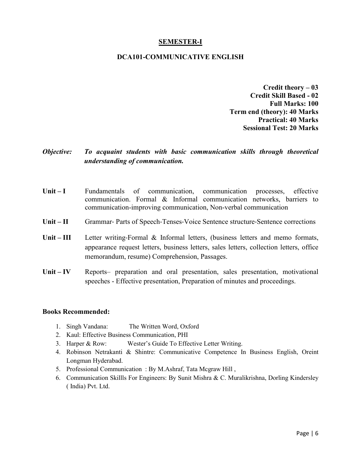## **SEMESTER-I**

### **DCA101-COMMUNICATIVE ENGLISH**

**Credit theory - 03 Credit Skill Based - 02 Full Marks: 100 Term end (theory): 40 Marks Practical: 40 Marks Sessional Test: 20 Marks** 

### Objective: To acquaint students with basic communication skills through theoretical understanding of communication.

- $Unit I$ Fundamentals  $\sigma$ communication, communication processes, effective communication. Formal & Informal communication networks, barriers to communication-improving communication, Non-verbal communication
- $Unit II$ Grammar- Parts of Speech-Tenses-Voice Sentence structure-Sentence corrections
- $Unit III$ Letter writing-Formal & Informal letters, (business letters and memo formats, appearance request letters, business letters, sales letters, collection letters, office memorandum, resume) Comprehension, Passages.
- Unit  $-$  IV Reports- preparation and oral presentation, sales presentation, motivational speeches - Effective presentation, Preparation of minutes and proceedings.

- 1. Singh Vandana: The Written Word, Oxford
- 2. Kaul: Effective Business Communication, PHI
- 3. Harper & Row: Wester's Guide To Effective Letter Writing.
- 4. Robinson Netrakanti & Shintre: Communicative Competence In Business English, Oreint Longman Hyderabad.
- 5. Professional Communication: By M.Ashraf, Tata Mcgraw Hill,
- 6. Communication Skillls For Engineers: By Sunit Mishra & C. Muralikrishna, Dorling Kindersley (India) Pvt. Ltd.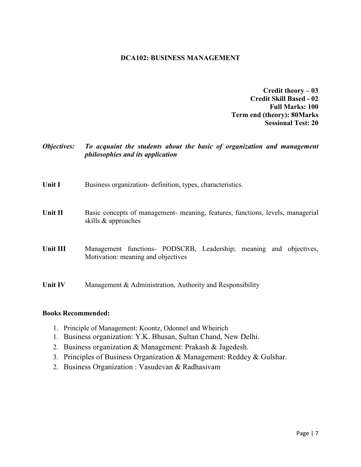## **DCA102: BUSINESS MANAGEMENT**

**Credit theory - 03 Credit Skill Based - 02 Full Marks: 100 Term end (theory): 80Marks Sessional Test: 20** 

**Objectives:** To acquaint the students about the basic of organization and management philosophies and its application

- Unit I Business organization-definition, types, characteristics.
- Unit II Basic concepts of management- meaning, features, functions, levels, managerial skills & approaches
- Management functions- PODSCRB, Leadership; meaning and objectives, **Unit III** Motivation: meaning and objectives

**Unit IV** Management & Administration, Authority and Responsibility

- 1. Principle of Management: Koontz, Odonnel and Wheirich
- 1. Business organization: Y.K. Bhusan, Sultan Chand, New Delhi.
- 2. Business organization & Management: Prakash & Jagedesh.
- 3. Principles of Business Organization & Management: Reddey & Gulshar.
- 2. Business Organization : Vasudevan & Radhasivam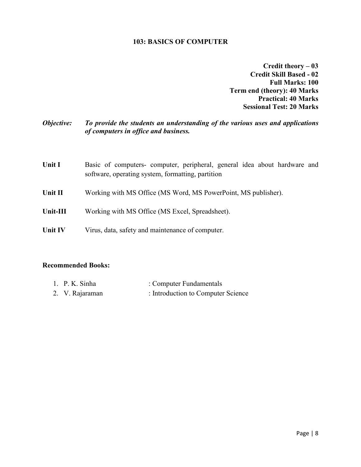### **103: BASICS OF COMPUTER**

Credit theory - 03 **Credit Skill Based - 02 Full Marks: 100 Term end (theory): 40 Marks** Practical: 40 Marks **Sessional Test: 20 Marks** 

### To provide the students an understanding of the various uses and applications Objective: of computers in office and business.

| <b>Unit I</b>  | Basic of computers- computer, peripheral, general idea about hardware and<br>software, operating system, formatting, partition |  |
|----------------|--------------------------------------------------------------------------------------------------------------------------------|--|
| Unit II        | Working with MS Office (MS Word, MS PowerPoint, MS publisher).                                                                 |  |
| Unit-III       | Working with MS Office (MS Excel, Spreadsheet).                                                                                |  |
| <b>Unit IV</b> | Virus, data, safety and maintenance of computer.                                                                               |  |

### **Recommended Books:**

| 1. P. K. Sinha  | : Computer Fundamentals            |
|-----------------|------------------------------------|
| 2. V. Rajaraman | : Introduction to Computer Science |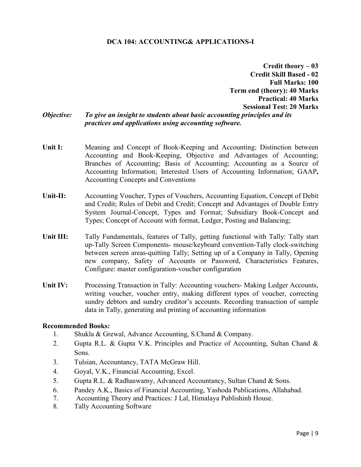# **DCA 104: ACCOUNTING& APPLICATIONS-I**

**Credit theory – 03 Credit Skill Based - 02 Full Marks: 100 Term end (theory): 40 Marks Practical: 40 Marks Sessional Test: 20 Marks** To give an insight to students about basic accounting principles and its practices and applications using accounting software.

- Unit I: Meaning and Concept of Book-Keeping and Accounting; Distinction between Accounting and Book-Keeping, Objective and Advantages of Accounting; Branches of Accounting; Basis of Accounting; Accounting as a Source of Accounting Information; Interested Users of Accounting Information; GAAP, **Accounting Concepts and Conventions**
- $\overline{\text{Unit-II}}$ : Accounting Voucher, Types of Vouchers, Accounting Equation, Concept of Debit and Credit; Rules of Debit and Credit; Concept and Advantages of Double Entry System Journal-Concept, Types and Format; Subsidiary Book-Concept and Types; Concept of Account with format, Ledger, Posting and Balancing;
- Unit III: Tally Fundamentals, features of Tally, getting functional with Tally: Tally start up-Tally Screen Components- mouse/keyboard convention-Tally clock-switching between screen areas-quitting Tally; Setting up of a Company in Tally, Opening new company, Safety of Accounts or Password, Characteristics Features, Configure: master configuration-voucher configuration
- Unit  $IV:$ Processing Transaction in Tally: Accounting vouchers- Making Ledger Accounts, writing voucher, voucher entry, making different types of voucher, correcting sundry debtors and sundry creditor's accounts. Recording transaction of sample data in Tally, generating and printing of accounting information

## **Recommended Books:**

Objective:

- 1. Shukla & Grewal, Advance Accounting, S.Chand & Company.
- 2. Gupta R.L. & Gupta V.K. Principles and Practice of Accounting, Sultan Chand & Sons.
- $\overline{3}$ . Tulsian, Accountancy, TATA McGraw Hill.
- 4. Goval, V.K., Financial Accounting, Excel.
- 5. Gupta R.L. & Radhaswamy, Advanced Accountancy, Sultan Chand & Sons.
- 6. Pandey A.K., Basics of Financial Accounting, Yashoda Publications, Allahabad.
- 7. Accounting Theory and Practices: J Lal, Himalaya Publishinh House.
- 8. **Tally Accounting Software**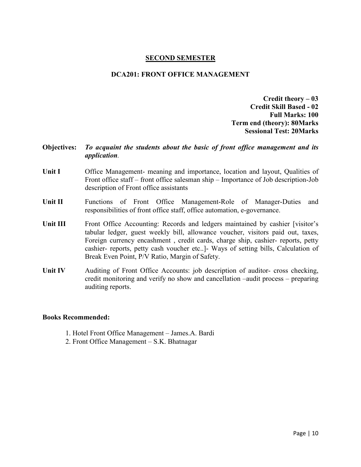### **SECOND SEMESTER**

### **DCA201: FRONT OFFICE MANAGEMENT**

**Credit theory - 03 Credit Skill Based - 02 Full Marks: 100 Term end (theory): 80Marks Sessional Test: 20Marks** 

### **Objectives:** To acquaint the students about the basic of front office management and its application.

- **Unit I** Office Management- meaning and importance, location and layout, Qualities of Front office staff – front office salesman ship – Importance of Job description-Job description of Front office assistants
- Unit II Functions of Front Office Management-Role of Manager-Duties and responsibilities of front office staff, office automation, e-governance.
- Unit III Front Office Accounting: Records and ledgers maintained by cashier [visitor's tabular ledger, guest weekly bill, allowance voucher, visitors paid out, taxes, Foreign currency encashment, credit cards, charge ship, cashier-reports, petty cashier- reports, petty cash voucher etc..] Ways of setting bills, Calculation of Break Even Point, P/V Ratio, Margin of Safety.
- **Unit IV** Auditing of Front Office Accounts: job description of auditor- cross checking, credit monitoring and verify no show and cancellation –audit process – preparing auditing reports.

- 1. Hotel Front Office Management James.A. Bardi
- 2. Front Office Management S.K. Bhatnagar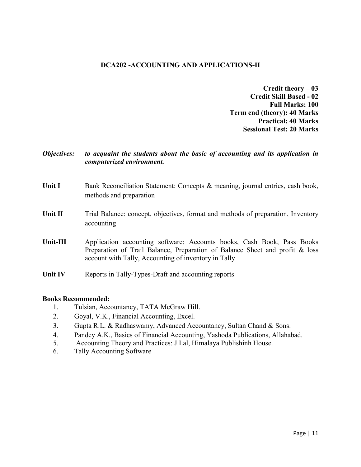# **DCA202 -ACCOUNTING AND APPLICATIONS-II**

**Credit theory - 03 Credit Skill Based - 02 Full Marks: 100 Term end (theory): 40 Marks Practical: 40 Marks Sessional Test: 20 Marks** 

### **Objectives:** to acquaint the students about the basic of accounting and its application in computerized environment.

- **Unit I** Bank Reconciliation Statement: Concepts & meaning, journal entries, cash book, methods and preparation
- **Unit II** Trial Balance: concept, objectives, format and methods of preparation, Inventory accounting
- $Unit-III$ Application accounting software: Accounts books, Cash Book, Pass Books Preparation of Trail Balance, Preparation of Balance Sheet and profit & loss account with Tally, Accounting of inventory in Tally
- **Unit IV** Reports in Tally-Types-Draft and accounting reports

- Tulsian, Accountancy, TATA McGraw Hill.  $1_{-}$
- $2^{1}$ Goyal, V.K., Financial Accounting, Excel.
- $\overline{3}$ . Gupta R.L. & Radhaswamy, Advanced Accountancy, Sultan Chand & Sons.
- 4. Pandey A.K., Basics of Financial Accounting, Yashoda Publications, Allahabad.
- 5. Accounting Theory and Practices: J Lal, Himalaya Publishinh House.
- Tally Accounting Software 6.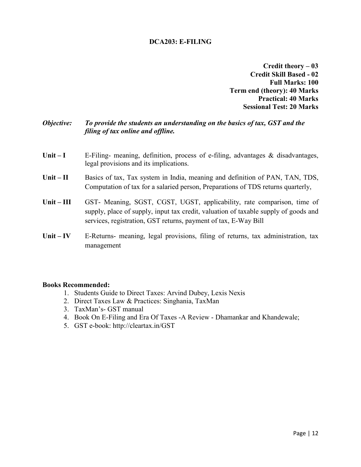## **DCA203: E-FILING**

**Credit theory - 03 Credit Skill Based - 02 Full Marks: 100 Term end (theory): 40 Marks Practical: 40 Marks Sessional Test: 20 Marks** 

#### Objective: To provide the students an understanding on the basics of tax, GST and the filing of tax online and offline.

- $Unit I$ E-Filing- meaning, definition, process of e-filing, advantages & disadvantages, legal provisions and its implications.
- $Unit II$ Basics of tax, Tax system in India, meaning and definition of PAN, TAN, TDS, Computation of tax for a salaried person, Preparations of TDS returns quarterly,
- $Unit III$ GST- Meaning, SGST, CGST, UGST, applicability, rate comparison, time of supply, place of supply, input tax credit, valuation of taxable supply of goods and services, registration, GST returns, payment of tax, E-Way Bill
- Unit  $-$  IV E-Returns- meaning, legal provisions, filing of returns, tax administration, tax management

- 1. Students Guide to Direct Taxes: Arvind Dubey, Lexis Nexis
- 2. Direct Taxes Law & Practices: Singhania, TaxMan
- 3. TaxMan's- GST manual
- 4. Book On E-Filing and Era Of Taxes -A Review Dhamankar and Khandewale;
- 5. GST e-book: http://cleartax.in/GST